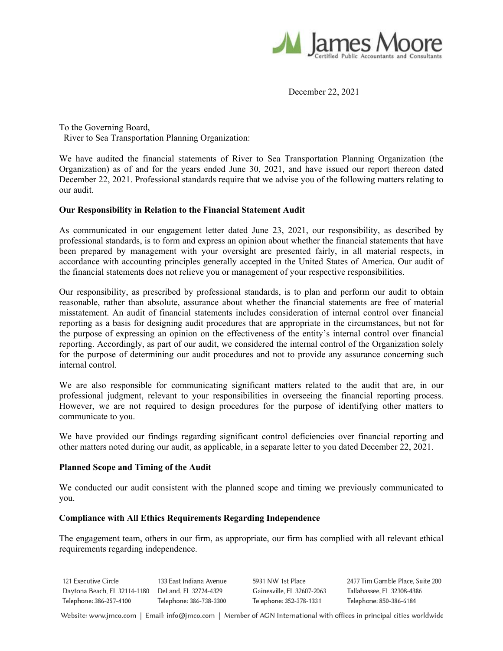

December 22, 2021

To the Governing Board, River to Sea Transportation Planning Organization:

We have audited the financial statements of River to Sea Transportation Planning Organization (the Organization) as of and for the years ended June 30, 2021*,* and have issued our report thereon dated December 22, 2021. Professional standards require that we advise you of the following matters relating to our audit.

## **Our Responsibility in Relation to the Financial Statement Audit**

As communicated in our engagement letter dated June 23, 2021, our responsibility, as described by professional standards, is to form and express an opinion about whether the financial statements that have been prepared by management with your oversight are presented fairly, in all material respects, in accordance with accounting principles generally accepted in the United States of America. Our audit of the financial statements does not relieve you or management of your respective responsibilities.

Our responsibility, as prescribed by professional standards, is to plan and perform our audit to obtain reasonable, rather than absolute, assurance about whether the financial statements are free of material misstatement. An audit of financial statements includes consideration of internal control over financial reporting as a basis for designing audit procedures that are appropriate in the circumstances, but not for the purpose of expressing an opinion on the effectiveness of the entity's internal control over financial reporting. Accordingly, as part of our audit, we considered the internal control of the Organization solely for the purpose of determining our audit procedures and not to provide any assurance concerning such internal control.

We are also responsible for communicating significant matters related to the audit that are, in our professional judgment, relevant to your responsibilities in overseeing the financial reporting process. However, we are not required to design procedures for the purpose of identifying other matters to communicate to you.

We have provided our findings regarding significant control deficiencies over financial reporting and other matters noted during our audit, as applicable, in a separate letter to you dated December 22, 2021.

### **Planned Scope and Timing of the Audit**

We conducted our audit consistent with the planned scope and timing we previously communicated to you.

### **Compliance with All Ethics Requirements Regarding Independence**

The engagement team, others in our firm, as appropriate, our firm has complied with all relevant ethical requirements regarding independence.

121 Executive Circle 133 East Indiana Avenue 2477 Tim Gamble Place, Suite 200 5931 NW 1st Place Daytona Beach, FL 32114-1180 DeLand, FL 32724-4329 Gainesville, FL 32607-2063 Tallahassee, FL 32308-4386 Telephone: 386-257-4100 Telephone: 386-738-3300 Telephone: 352-378-1331 Telephone: 850-386-6184

Website: www.jmco.com | Email: info@jmco.com | Member of AGN International with offices in principal cities worldwide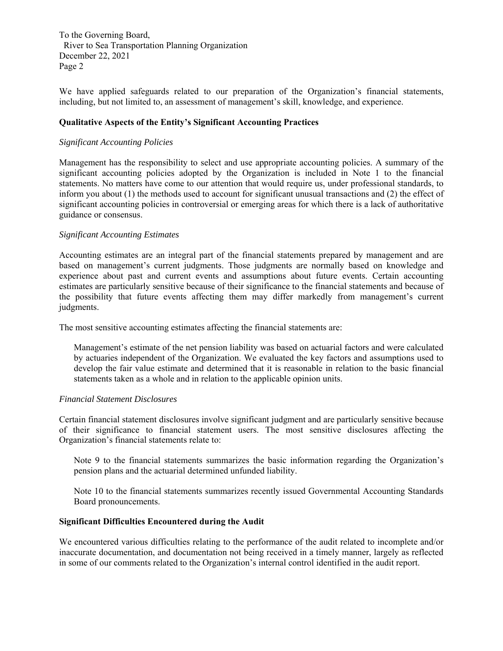To the Governing Board, River to Sea Transportation Planning Organization December 22, 2021 Page 2

We have applied safeguards related to our preparation of the Organization's financial statements, including, but not limited to, an assessment of management's skill, knowledge, and experience.

## **Qualitative Aspects of the Entity's Significant Accounting Practices**

### *Significant Accounting Policies*

Management has the responsibility to select and use appropriate accounting policies. A summary of the significant accounting policies adopted by the Organization is included in Note 1 to the financial statements. No matters have come to our attention that would require us, under professional standards, to inform you about (1) the methods used to account for significant unusual transactions and (2) the effect of significant accounting policies in controversial or emerging areas for which there is a lack of authoritative guidance or consensus.

## *Significant Accounting Estimates*

Accounting estimates are an integral part of the financial statements prepared by management and are based on management's current judgments. Those judgments are normally based on knowledge and experience about past and current events and assumptions about future events. Certain accounting estimates are particularly sensitive because of their significance to the financial statements and because of the possibility that future events affecting them may differ markedly from management's current judgments.

The most sensitive accounting estimates affecting the financial statements are:

Management's estimate of the net pension liability was based on actuarial factors and were calculated by actuaries independent of the Organization. We evaluated the key factors and assumptions used to develop the fair value estimate and determined that it is reasonable in relation to the basic financial statements taken as a whole and in relation to the applicable opinion units.

### *Financial Statement Disclosures*

Certain financial statement disclosures involve significant judgment and are particularly sensitive because of their significance to financial statement users. The most sensitive disclosures affecting the Organization's financial statements relate to:

Note 9 to the financial statements summarizes the basic information regarding the Organization's pension plans and the actuarial determined unfunded liability.

Note 10 to the financial statements summarizes recently issued Governmental Accounting Standards Board pronouncements.

## **Significant Difficulties Encountered during the Audit**

We encountered various difficulties relating to the performance of the audit related to incomplete and/or inaccurate documentation, and documentation not being received in a timely manner, largely as reflected in some of our comments related to the Organization's internal control identified in the audit report.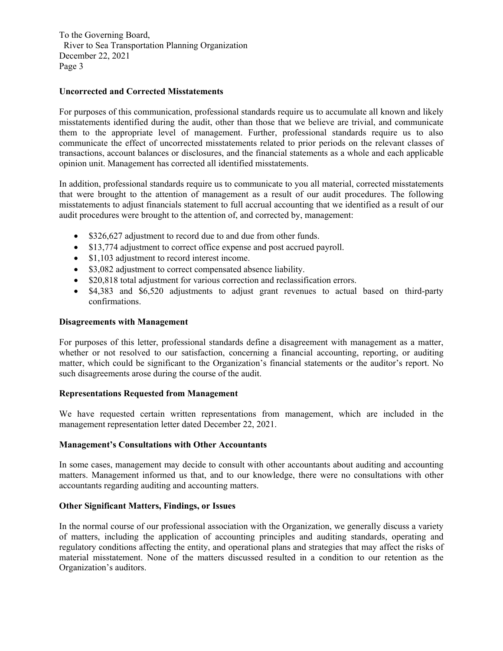To the Governing Board, River to Sea Transportation Planning Organization December 22, 2021 Page 3

# **Uncorrected and Corrected Misstatements**

For purposes of this communication, professional standards require us to accumulate all known and likely misstatements identified during the audit, other than those that we believe are trivial, and communicate them to the appropriate level of management. Further, professional standards require us to also communicate the effect of uncorrected misstatements related to prior periods on the relevant classes of transactions, account balances or disclosures, and the financial statements as a whole and each applicable opinion unit. Management has corrected all identified misstatements.

In addition, professional standards require us to communicate to you all material, corrected misstatements that were brought to the attention of management as a result of our audit procedures. The following misstatements to adjust financials statement to full accrual accounting that we identified as a result of our audit procedures were brought to the attention of, and corrected by, management:

- \$326,627 adjustment to record due to and due from other funds.
- \$13,774 adjustment to correct office expense and post accrued payroll.
- \$1,103 adjustment to record interest income.
- \$3,082 adjustment to correct compensated absence liability.
- \$20,818 total adjustment for various correction and reclassification errors.
- \$4,383 and \$6,520 adjustments to adjust grant revenues to actual based on third-party confirmations.

## **Disagreements with Management**

For purposes of this letter, professional standards define a disagreement with management as a matter, whether or not resolved to our satisfaction, concerning a financial accounting, reporting, or auditing matter, which could be significant to the Organization's financial statements or the auditor's report. No such disagreements arose during the course of the audit.

# **Representations Requested from Management**

We have requested certain written representations from management, which are included in the management representation letter dated December 22, 2021.

### **Management's Consultations with Other Accountants**

In some cases, management may decide to consult with other accountants about auditing and accounting matters. Management informed us that, and to our knowledge, there were no consultations with other accountants regarding auditing and accounting matters.

### **Other Significant Matters, Findings, or Issues**

In the normal course of our professional association with the Organization, we generally discuss a variety of matters, including the application of accounting principles and auditing standards, operating and regulatory conditions affecting the entity, and operational plans and strategies that may affect the risks of material misstatement. None of the matters discussed resulted in a condition to our retention as the Organization's auditors.